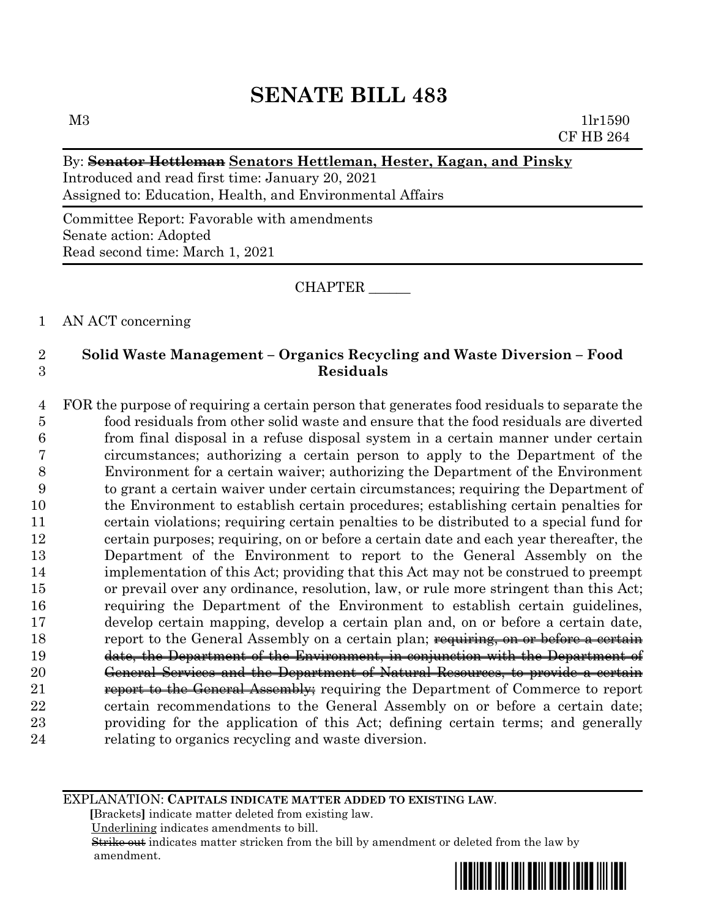# **SENATE BILL 483**

## By: **Senator Hettleman Senators Hettleman, Hester, Kagan, and Pinsky**

Introduced and read first time: January 20, 2021 Assigned to: Education, Health, and Environmental Affairs

Committee Report: Favorable with amendments Senate action: Adopted Read second time: March 1, 2021

CHAPTER \_\_\_\_\_\_

1 AN ACT concerning

# 2 **Solid Waste Management – Organics Recycling and Waste Diversion – Food**  3 **Residuals**

 FOR the purpose of requiring a certain person that generates food residuals to separate the food residuals from other solid waste and ensure that the food residuals are diverted from final disposal in a refuse disposal system in a certain manner under certain circumstances; authorizing a certain person to apply to the Department of the Environment for a certain waiver; authorizing the Department of the Environment to grant a certain waiver under certain circumstances; requiring the Department of the Environment to establish certain procedures; establishing certain penalties for certain violations; requiring certain penalties to be distributed to a special fund for certain purposes; requiring, on or before a certain date and each year thereafter, the Department of the Environment to report to the General Assembly on the implementation of this Act; providing that this Act may not be construed to preempt or prevail over any ordinance, resolution, law, or rule more stringent than this Act; requiring the Department of the Environment to establish certain guidelines, develop certain mapping, develop a certain plan and, on or before a certain date, 18 report to the General Assembly on a certain plan; requiring, on or before a certain date, the Department of the Environment, in conjunction with the Department of General Services and the Department of Natural Resources, to provide a certain **report to the General Assembly**; requiring the Department of Commerce to report certain recommendations to the General Assembly on or before a certain date; providing for the application of this Act; defining certain terms; and generally relating to organics recycling and waste diversion.

#### EXPLANATION: **CAPITALS INDICATE MATTER ADDED TO EXISTING LAW**.

 **[**Brackets**]** indicate matter deleted from existing law.

Underlining indicates amendments to bill.

 Strike out indicates matter stricken from the bill by amendment or deleted from the law by amendment.

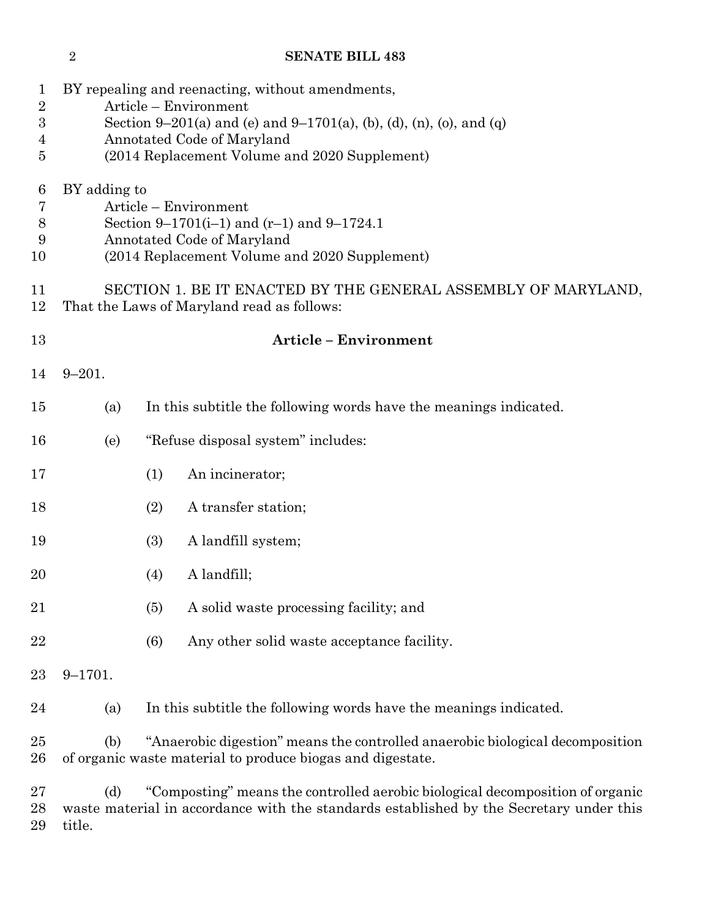# **SENATE BILL 483**

| 1<br>$\sqrt{2}$<br>3<br>$\overline{4}$<br>5 |                                                                                                                                                                      | BY repealing and reenacting, without amendments,<br>Article - Environment<br>Section 9–201(a) and (e) and 9–1701(a), (b), (d), (n), (o), and (q)<br>Annotated Code of Maryland<br>(2014 Replacement Volume and 2020 Supplement) |  |
|---------------------------------------------|----------------------------------------------------------------------------------------------------------------------------------------------------------------------|---------------------------------------------------------------------------------------------------------------------------------------------------------------------------------------------------------------------------------|--|
| 6<br>7<br>$8\,$<br>9<br>10                  | BY adding to<br>Article – Environment<br>Section 9–1701(i–1) and $(r-1)$ and 9–1724.1<br>Annotated Code of Maryland<br>(2014 Replacement Volume and 2020 Supplement) |                                                                                                                                                                                                                                 |  |
| 11<br>12                                    | SECTION 1. BE IT ENACTED BY THE GENERAL ASSEMBLY OF MARYLAND,<br>That the Laws of Maryland read as follows:                                                          |                                                                                                                                                                                                                                 |  |
| 13                                          |                                                                                                                                                                      | <b>Article - Environment</b>                                                                                                                                                                                                    |  |
| 14                                          | $9 - 201.$                                                                                                                                                           |                                                                                                                                                                                                                                 |  |
| 15                                          | (a)                                                                                                                                                                  | In this subtitle the following words have the meanings indicated.                                                                                                                                                               |  |
| 16                                          | (e)                                                                                                                                                                  | "Refuse disposal system" includes:                                                                                                                                                                                              |  |
| 17                                          |                                                                                                                                                                      | An incinerator;<br>(1)                                                                                                                                                                                                          |  |
| 18                                          |                                                                                                                                                                      | (2)<br>A transfer station;                                                                                                                                                                                                      |  |
| 19                                          |                                                                                                                                                                      | (3)<br>A landfill system;                                                                                                                                                                                                       |  |
| 20                                          |                                                                                                                                                                      | A landfill;<br>(4)                                                                                                                                                                                                              |  |
| 21                                          |                                                                                                                                                                      | (5)<br>A solid waste processing facility; and                                                                                                                                                                                   |  |
| 22                                          |                                                                                                                                                                      | (6)<br>Any other solid waste acceptance facility.                                                                                                                                                                               |  |
| 23                                          | $9 - 1701.$                                                                                                                                                          |                                                                                                                                                                                                                                 |  |
| 24                                          | (a)                                                                                                                                                                  | In this subtitle the following words have the meanings indicated.                                                                                                                                                               |  |
| 25<br>26                                    | (b)                                                                                                                                                                  | "Anaerobic digestion" means the controlled anaerobic biological decomposition<br>of organic waste material to produce biogas and digestate.                                                                                     |  |
| 27<br>28<br>29                              | (d)<br>title.                                                                                                                                                        | "Composting" means the controlled aerobic biological decomposition of organic<br>waste material in accordance with the standards established by the Secretary under this                                                        |  |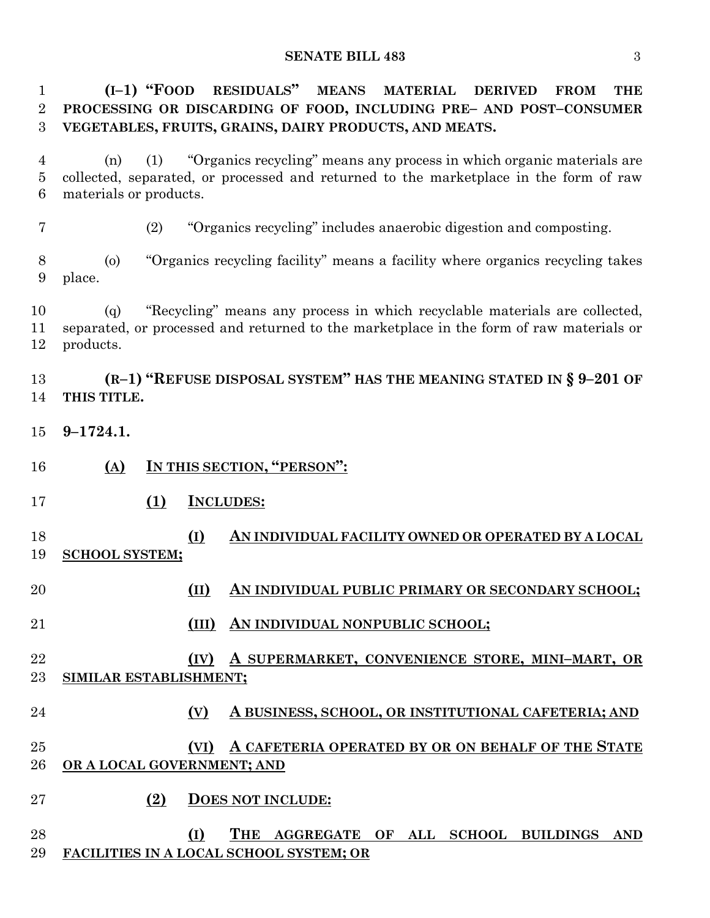#### **SENATE BILL 483** 3

 **(I–1) "FOOD RESIDUALS" MEANS MATERIAL DERIVED FROM THE PROCESSING OR DISCARDING OF FOOD, INCLUDING PRE– AND POST–CONSUMER VEGETABLES, FRUITS, GRAINS, DAIRY PRODUCTS, AND MEATS.**

 (n) (1) "Organics recycling" means any process in which organic materials are collected, separated, or processed and returned to the marketplace in the form of raw materials or products.

(2) "Organics recycling" includes anaerobic digestion and composting.

 (o) "Organics recycling facility" means a facility where organics recycling takes place.

 (q) "Recycling" means any process in which recyclable materials are collected, separated, or processed and returned to the marketplace in the form of raw materials or products.

 **(R–1) "REFUSE DISPOSAL SYSTEM" HAS THE MEANING STATED IN § 9–201 OF THIS TITLE.**

- **9–1724.1.**
- **(A) IN THIS SECTION, "PERSON":**
- **(1) INCLUDES:**
- **(I) AN INDIVIDUAL FACILITY OWNED OR OPERATED BY A LOCAL SCHOOL SYSTEM;**
- **(II) AN INDIVIDUAL PUBLIC PRIMARY OR SECONDARY SCHOOL;**
- **(III) AN INDIVIDUAL NONPUBLIC SCHOOL;**
- **(IV) A SUPERMARKET, CONVENIENCE STORE, MINI–MART, OR SIMILAR ESTABLISHMENT;**
- **(V) A BUSINESS, SCHOOL, OR INSTITUTIONAL CAFETERIA; AND**
- **(VI) A CAFETERIA OPERATED BY OR ON BEHALF OF THE STATE OR A LOCAL GOVERNMENT; AND**
- **(2) DOES NOT INCLUDE:**
- **(I) THE AGGREGATE OF ALL SCHOOL BUILDINGS AND FACILITIES IN A LOCAL SCHOOL SYSTEM; OR**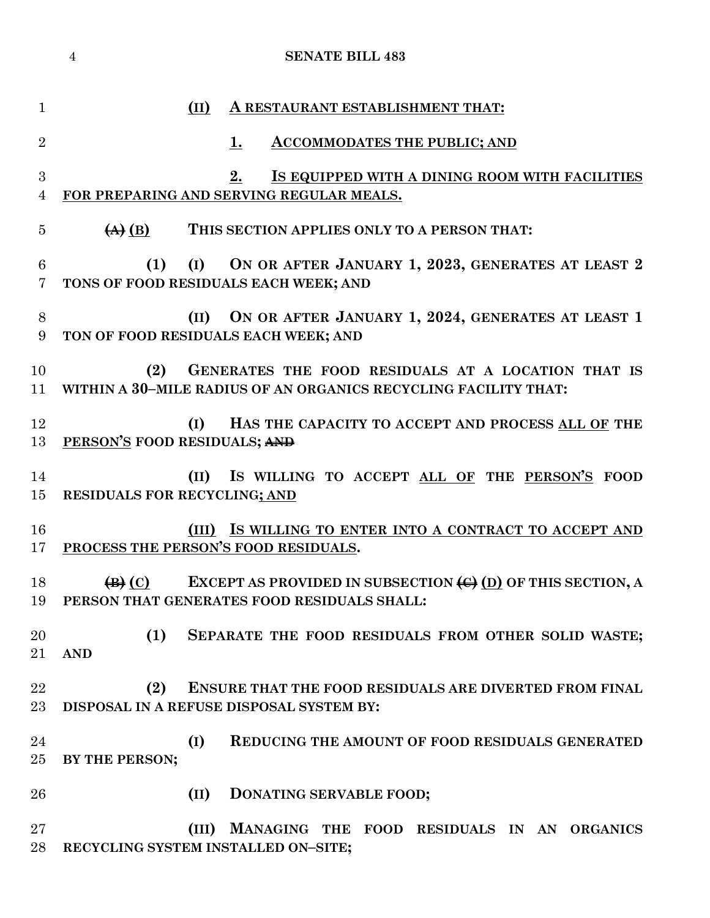|                     | <b>SENATE BILL 483</b><br>$\overline{4}$                                                                                                              |
|---------------------|-------------------------------------------------------------------------------------------------------------------------------------------------------|
| $\mathbf{1}$        | (II)<br>A RESTAURANT ESTABLISHMENT THAT:                                                                                                              |
| $\overline{2}$      | <b>ACCOMMODATES THE PUBLIC; AND</b><br>1.                                                                                                             |
| 3<br>$\overline{4}$ | 2.<br>IS EQUIPPED WITH A DINING ROOM WITH FACILITIES<br>FOR PREPARING AND SERVING REGULAR MEALS.                                                      |
| 5                   | $\left(\overline{A}\right)\left(\overline{B}\right)$<br>THIS SECTION APPLIES ONLY TO A PERSON THAT:                                                   |
| 6<br>$\overline{7}$ | (1)<br>(I) ON OR AFTER JANUARY 1, 2023, GENERATES AT LEAST 2<br>TONS OF FOOD RESIDUALS EACH WEEK; AND                                                 |
| 8<br>9              | ON OR AFTER JANUARY 1, 2024, GENERATES AT LEAST 1<br>(II)<br>TON OF FOOD RESIDUALS EACH WEEK; AND                                                     |
| 10<br>11            | GENERATES THE FOOD RESIDUALS AT A LOCATION THAT IS<br>(2)<br>WITHIN A 30-MILE RADIUS OF AN ORGANICS RECYCLING FACILITY THAT:                          |
| 12<br>13            | (I)<br>HAS THE CAPACITY TO ACCEPT AND PROCESS ALL OF THE<br>PERSON'S FOOD RESIDUALS; AND                                                              |
| 14<br>15            | IS WILLING TO ACCEPT ALL OF THE PERSON'S FOOD<br>(II)<br><b>RESIDUALS FOR RECYCLING; AND</b>                                                          |
| 16<br>17            | (III) IS WILLING TO ENTER INTO A CONTRACT TO ACCEPT AND<br>PROCESS THE PERSON'S FOOD RESIDUALS.                                                       |
| 18<br>19            | EXCEPT AS PROVIDED IN SUBSECTION $\bigoplus$ (D) OF THIS SECTION, A<br>$\left( \mathbf{B} \right)$ (C)<br>PERSON THAT GENERATES FOOD RESIDUALS SHALL: |
| 20<br>21            | (1)<br>SEPARATE THE FOOD RESIDUALS FROM OTHER SOLID WASTE;<br><b>AND</b>                                                                              |
| $\bf{22}$<br>23     | (2)<br>ENSURE THAT THE FOOD RESIDUALS ARE DIVERTED FROM FINAL<br>DISPOSAL IN A REFUSE DISPOSAL SYSTEM BY:                                             |
| 24<br>25            | (I)<br><b>REDUCING THE AMOUNT OF FOOD RESIDUALS GENERATED</b><br>BY THE PERSON;                                                                       |
| 26                  | (II)<br>DONATING SERVABLE FOOD;                                                                                                                       |
| 27<br>28            | MANAGING THE FOOD RESIDUALS IN AN ORGANICS<br>(III)<br>RECYCLING SYSTEM INSTALLED ON-SITE;                                                            |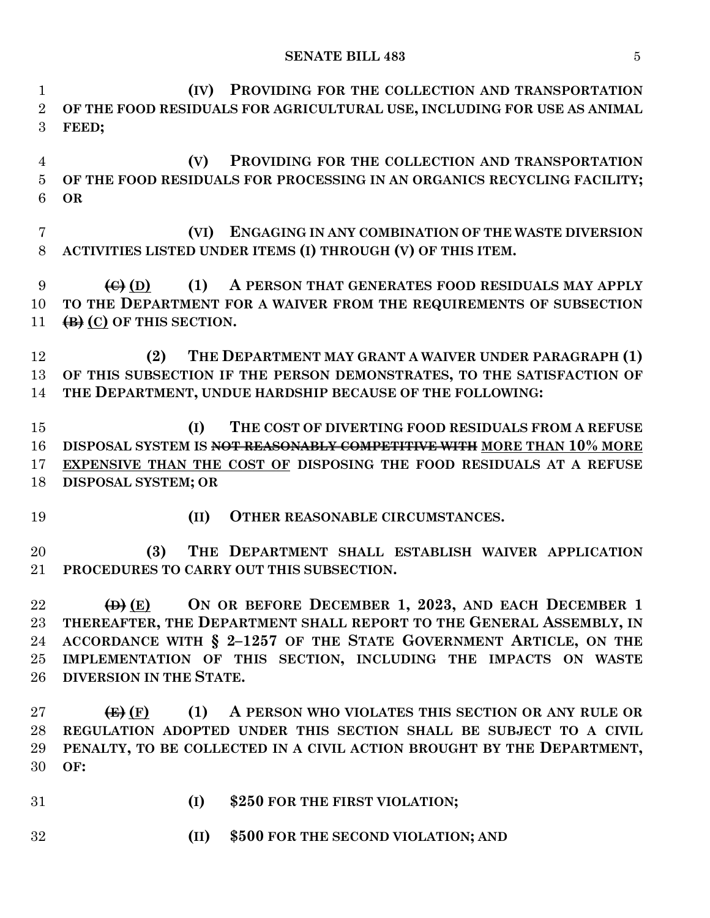**(IV) PROVIDING FOR THE COLLECTION AND TRANSPORTATION OF THE FOOD RESIDUALS FOR AGRICULTURAL USE, INCLUDING FOR USE AS ANIMAL FEED; (V) PROVIDING FOR THE COLLECTION AND TRANSPORTATION OF THE FOOD RESIDUALS FOR PROCESSING IN AN ORGANICS RECYCLING FACILITY; OR (VI) ENGAGING IN ANY COMBINATION OF THE WASTE DIVERSION ACTIVITIES LISTED UNDER ITEMS (I) THROUGH (V) OF THIS ITEM. (C) (D) (1) A PERSON THAT GENERATES FOOD RESIDUALS MAY APPLY TO THE DEPARTMENT FOR A WAIVER FROM THE REQUIREMENTS OF SUBSECTION (B) (C) OF THIS SECTION. (2) THE DEPARTMENT MAY GRANT A WAIVER UNDER PARAGRAPH (1) OF THIS SUBSECTION IF THE PERSON DEMONSTRATES, TO THE SATISFACTION OF THE DEPARTMENT, UNDUE HARDSHIP BECAUSE OF THE FOLLOWING: (I) THE COST OF DIVERTING FOOD RESIDUALS FROM A REFUSE DISPOSAL SYSTEM IS NOT REASONABLY COMPETITIVE WITH MORE THAN 10% MORE EXPENSIVE THAN THE COST OF DISPOSING THE FOOD RESIDUALS AT A REFUSE DISPOSAL SYSTEM; OR (II) OTHER REASONABLE CIRCUMSTANCES. (3) THE DEPARTMENT SHALL ESTABLISH WAIVER APPLICATION PROCEDURES TO CARRY OUT THIS SUBSECTION. (D) (E) ON OR BEFORE DECEMBER 1, 2023, AND EACH DECEMBER 1 THEREAFTER, THE DEPARTMENT SHALL REPORT TO THE GENERAL ASSEMBLY, IN ACCORDANCE WITH § 2–1257 OF THE STATE GOVERNMENT ARTICLE, ON THE IMPLEMENTATION OF THIS SECTION, INCLUDING THE IMPACTS ON WASTE DIVERSION IN THE STATE. (E) (F) (1) A PERSON WHO VIOLATES THIS SECTION OR ANY RULE OR REGULATION ADOPTED UNDER THIS SECTION SHALL BE SUBJECT TO A CIVIL PENALTY, TO BE COLLECTED IN A CIVIL ACTION BROUGHT BY THE DEPARTMENT, OF: (I) \$250 FOR THE FIRST VIOLATION;**

**(II) \$500 FOR THE SECOND VIOLATION; AND**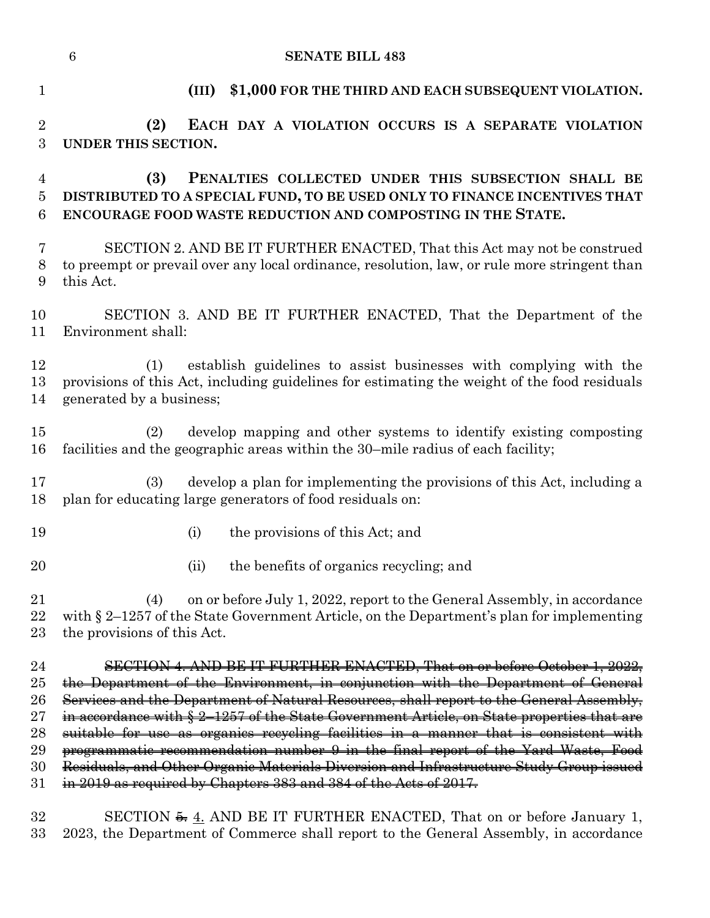| $\mathbf{1}$           | \$1,000 FOR THE THIRD AND EACH SUBSEQUENT VIOLATION.<br>(III)                                                                                                                                                 |
|------------------------|---------------------------------------------------------------------------------------------------------------------------------------------------------------------------------------------------------------|
| $\overline{2}$<br>3    | (2)<br>EACH DAY A VIOLATION OCCURS IS A SEPARATE VIOLATION<br>UNDER THIS SECTION.                                                                                                                             |
| $\overline{4}$         | (3)<br>PENALTIES COLLECTED UNDER THIS SUBSECTION SHALL BE                                                                                                                                                     |
| 5<br>6                 | DISTRIBUTED TO A SPECIAL FUND, TO BE USED ONLY TO FINANCE INCENTIVES THAT<br>ENCOURAGE FOOD WASTE REDUCTION AND COMPOSTING IN THE STATE.                                                                      |
| 7<br>8<br>9            | SECTION 2. AND BE IT FURTHER ENACTED, That this Act may not be construed<br>to preempt or prevail over any local ordinance, resolution, law, or rule more stringent than<br>this Act.                         |
| 10<br>11               | SECTION 3. AND BE IT FURTHER ENACTED, That the Department of the<br>Environment shall:                                                                                                                        |
| 12<br>13<br>14         | establish guidelines to assist businesses with complying with the<br>(1)<br>provisions of this Act, including guidelines for estimating the weight of the food residuals<br>generated by a business;          |
| 15<br>16               | develop mapping and other systems to identify existing composting<br>(2)<br>facilities and the geographic areas within the 30-mile radius of each facility;                                                   |
| 17<br>18               | develop a plan for implementing the provisions of this Act, including a<br>(3)<br>plan for educating large generators of food residuals on:                                                                   |
| 19                     | the provisions of this Act; and<br>(i)                                                                                                                                                                        |
| 20                     | the benefits of organics recycling; and<br>(ii)                                                                                                                                                               |
| $21\,$<br>22<br>$23\,$ | on or before July 1, 2022, report to the General Assembly, in accordance<br>(4)<br>with $\S 2-1257$ of the State Government Article, on the Department's plan for implementing<br>the provisions of this Act. |
| 24                     | SECTION 4. AND BE IT FURTHER ENACTED, That on or before October 1, 2022,                                                                                                                                      |
| $25\,$                 | the Department of the Environment, in conjunction with the Department of General                                                                                                                              |
| 26                     | Services and the Department of Natural Resources, shall report to the General Assembly,                                                                                                                       |
| $\rm 27$               | in accordance with § 2-1257 of the State Government Article, on State properties that are<br>suitable for use as organics recycling facilities in a manner that is consistent with                            |
| 28<br>29               | programmatic recommendation number 9 in the final report of the Yard Waste, Food                                                                                                                              |
| 30                     | Residuals, and Other Organic Materials Diversion and Infrastructure Study Group issued                                                                                                                        |
| $31\,$                 | in 2019 as required by Chapters 383 and 384 of the Acts of 2017.                                                                                                                                              |
| 32                     | SECTION $\frac{5}{2}$ . AND BE IT FURTHER ENACTED, That on or before January 1,                                                                                                                               |

2023, the Department of Commerce shall report to the General Assembly, in accordance

**SENATE BILL 483**